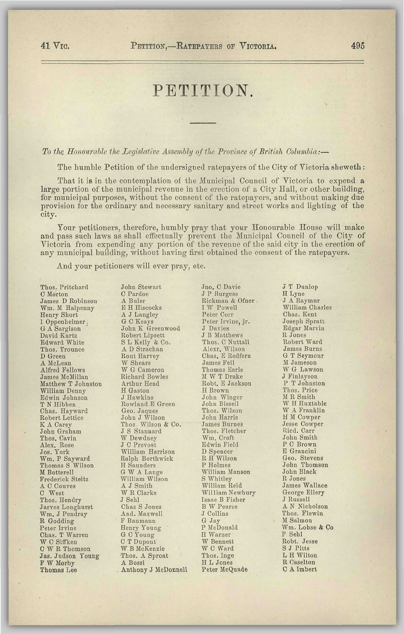## PETITION.

*To the Honourable the Legislative Assembly of the Province of British Columbia:*—

The humble Petition of the undersigned ratepayers of the City of Victoria sheweth:

That it is in the contemplation of the Municipal Council of Victoria to expend a large portion of the municipal revenue in the erection of a City Hall, or other building, for municipal purposes, without the consent of tho ratepayers, and without making due provision for the ordinary and necessary sanitary and street works and lighting of the city.

Your petitioners, therefore, humbly pray that your Honourable House will make and pass such laws as shall effectually prevent the Municipal Council of the City of Victoria from expending any portion of the revenue of the said city in the erection of any municipal building, without having first obtained the consent of the ratepayers.

And your petitioners will ever pray, etc.

Thos. Pritchard C Morton James D Robinson Wm. M Halpenny Henry Short 1. Oppenheimer, G A Sargison David Kurtz Edward White Thos. Trounce D Green A McLean Alfred Fellows James McMillan Matthew T Johnston William Denny Edwin Johnson T N Hibben Chas. Hayward Robert Lettice K A Carey John Graham Thos. Cavin Alex. Rose Jos. York Wm. P Sayward Thomas S Wilson M Botterell Frederick Steitz A C Couves C West Thos. Hendry Jarves Longhurst Wm. J Pendray R Godding n Gouung<br>Peter Irvine<br>Chas. T Warren Unas. 1 warren<br>W C Siffken<br>C W R Thomson Jas. Judson Young F W Morby<br>Thomas Lee

John Stewart C Pardoe A Buler E H Hiscocks A J Langley G C Keays John K Greenwood Robert Lipsett S L Kelly & Co. A D Strachan Rout Harvey W Shears W G Cameron Richard Bowles Arthur Head H Gaston J Hawkins Rowland E Green Geo. Jaques John J Wilson Thos, Wilson & Co. J S Stannard W Dewdney J C Prevost William Harrison Ralph Borthwick H Saunders G W A Lange William Wilson A J Smith W R Clarke J Sehl Chas S Jones And. Maxwell F Baumaun Henry Young G C Young C T Dupont W B McKenzie Thos. A Sproat A Bossi . Anthony J McDonnell

Jno. C Davie J P Burgess Rickman & Ofner I W Powell Peter Corr Peter Irvine, jr. J Davies J B Matthews Thos. C Nuttall Alexr. Wilson Chas. E Redfern James Fell Thomas Earle M W T Drake Robt. E Jackson H Brown John Winger John Bissell Thos. Wilson John Harris James Burnes Thos. Fletcher Wm. Craft Edwin Field D Spencer R H Wilson P Holmes William Manson S Whitley William Reid William Newbury Isaac B Fisher B W Pearse J Collins G Jay P McDonald H Warner H Warner W Bennett W C Ward Thos. Inge HL Jones<br>Peter McQuade

J T Dunlop H Lyne J A Raymur William Charles Chas. Kent Joseph Spratt Edgar Marvin R Jones Robert Ward James Burns G T Seymour M Jameson W G Lawson J Finlayson P T Johnston Thos. Price M R Smith W H Huxtable W A Franklin H M Cowper Jesse Cowper Ricd. Carr John Smith P C Brown E Grancini Geo. Stevens John Thomson John Black R Jones James Wallace George Ellery J Russell A N Nicholson Thos. Elewin M Salmon Wm. Lohse & Co F Sehl Robt. Jesse S J Pitts S J Pitts<br>L H Wilton R Caselton<br>C A Imbert